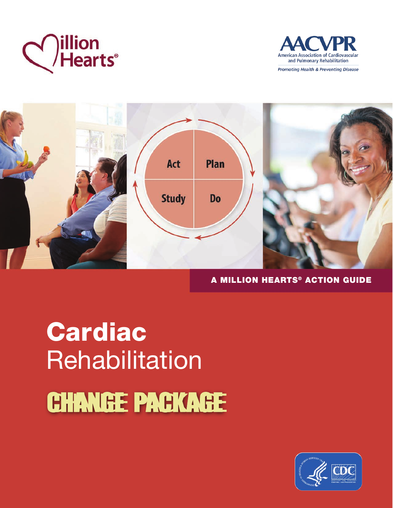





## A MILLION HEARTS® ACTION GUIDE

# Cardiac **Rehabilitation** CHANGE PACKAGE

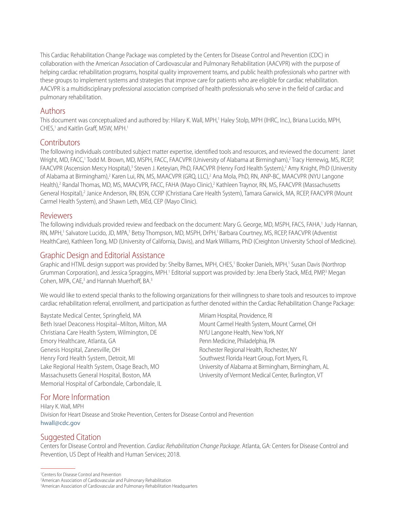This Cardiac Rehabilitation Change Package was completed by the Centers for Disease Control and Prevention (CDC) in collaboration with the American Association of Cardiovascular and Pulmonary Rehabilitation (AACVPR) with the purpose of helping cardiac rehabilitation programs, hospital quality improvement teams, and public health professionals who partner with these groups to implement systems and strategies that improve care for patients who are eligible for cardiac rehabilitation. AACVPR is a multidisciplinary professional association comprised of health professionals who serve in the field of cardiac and pulmonary rehabilitation.

#### Authors

This document was conceptualized and authored by: Hilary K. Wall, MPH,<sup>1</sup> Haley Stolp, MPH (IHRC, Inc.), Briana Lucido, MPH, CHES,<sup>1</sup> and Kaitlin Graff, MSW, MPH.<sup>1</sup>

## **Contributors**

The following individuals contributed subject matter expertise, identified tools and resources, and reviewed the document: Janet Wright, MD, FACC,<sup>1</sup> Todd M. Brown, MD, MSPH, FACC, FAACVPR (University of Alabama at Birmingham),<sup>2</sup> Tracy Herrewig, MS, RCEP, FAACVPR (Ascension Mercy Hospital),<sup>3</sup> Steven J. Keteyian, PhD, FAACVPR (Henry Ford Health System),<sup>2</sup> Amy Knight, PhD (University of Alabama at Birmingham),<sup>2</sup> Karen Lui, RN, MS, MAACVPR (GRQ, LLC),<sup>2</sup> Ana Mola, PhD, RN, ANP-BC, MAACVPR (NYU Langone Health),<sup>2</sup> Randal Thomas, MD, MS, MAACVPR, FACC, FAHA (Mayo Clinic),<sup>2</sup> Kathleen Traynor, RN, MS, FAACVPR (Massachusetts General Hospital),<sup>2</sup> Janice Anderson, RN, BSN, CCRP (Christiana Care Health System), Tamara Garwick, MA, RCEP, FAACVPR (Mount Carmel Health System), and Shawn Leth, MEd, CEP (Mayo Clinic).

#### Reviewers

The following individuals provided review and feedback on the document: Mary G. George, MD, MSPH, FACS, FAHA,' Judy Hannan, RN, MPH,<sup>1</sup> Salvatore Lucido, JD, MPA,<sup>1</sup> Betsy Thompson, MD, MSPH, DrPH,<sup>1</sup> Barbara Courtney, MS, RCEP, FAACVPR (Adventist HealthCare), Kathleen Tong, MD (University of California, Davis), and Mark Williams, PhD (Creighton University School of Medicine).

#### Graphic Design and Editorial Assistance

Graphic and HTML design support was provided by: Shelby Barnes, MPH, CHES,<sup>1</sup> Booker Daniels, MPH,<sup>1</sup> Susan Davis (Northrop Grumman Corporation), and Jessica Spraggins, MPH.<sup>1</sup> Editorial support was provided by: Jena Eberly Stack, MEd, PMP,<sup>3</sup> Megan Cohen, MPA, CAE,<sup>3</sup> and Hannah Muerhoff, BA.<sup>3</sup>

We would like to extend special thanks to the following organizations for their willingness to share tools and resources to improve cardiac rehabilitation referral, enrollment, and participation as further denoted within the Cardiac Rehabilitation Change Package:

Baystate Medical Center, Springfield, MA Beth Israel Deaconess Hospital–Milton, Milton, MA Christiana Care Health System, Wilmington, DE Emory Healthcare, Atlanta, GA Genesis Hospital, Zanesville, OH Henry Ford Health System, Detroit, MI Lake Regional Health System, Osage Beach, MO Massachusetts General Hospital, Boston, MA Memorial Hospital of Carbondale, Carbondale, IL

Miriam Hospital, Providence, RI Mount Carmel Health System, Mount Carmel, OH NYU Langone Health, New York, NY Penn Medicine, Philadelphia, PA Rochester Regional Health, Rochester, NY Southwest Florida Heart Group, Fort Myers, FL University of Alabama at Birmingham, Birmingham, AL University of Vermont Medical Center, Burlington, VT

## For More Information

Hilary K. Wall, MPH Division for Heart Disease and Stroke Prevention, Centers for Disease Control and Prevention [hwall@cdc.gov](mailto://hwall@cdc.gov)

## Suggested Citation

Centers for Disease Control and Prevention. *Cardiac Rehabilitation Change Package*. Atlanta, GA: Centers for Disease Control and Prevention, US Dept of Health and Human Services; 2018.

<sup>1</sup> Centers for Disease Control and Prevention

<sup>2</sup> American Association of Cardiovascular and Pulmonary Rehabilitation

<sup>3</sup> American Association of Cardiovascular and Pulmonary Rehabilitation Headquarters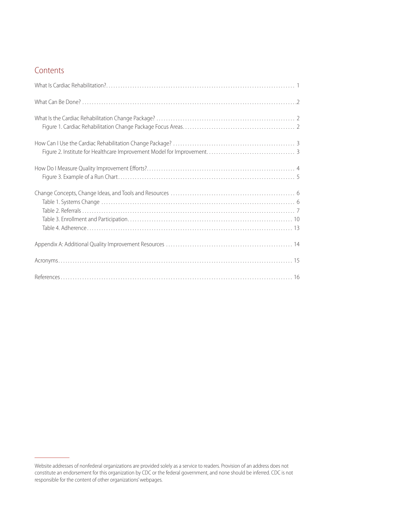## Contents

Website addresses of nonfederal organizations are provided solely as a service to readers. Provision of an address does not constitute an endorsement for this organization by CDC or the federal government, and none should be inferred. CDC is not responsible for the content of other organizations' webpages.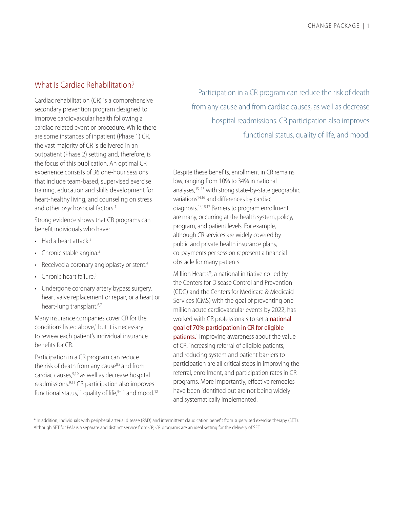## <span id="page-3-0"></span>What Is Cardiac Rehabilitation?

Cardiac rehabilitation (CR) is a comprehensive secondary prevention program designed to improve cardiovascular health following a cardiac-related event or procedure. While there are some instances of inpatient (Phase 1) CR, the vast majority of CR is delivered in an outpatient (Phase 2) setting and, therefore, is the focus of this publication. An optimal CR experience consists of 36 one-hour sessions that include team-based, supervised exercise training, education and skills development for heart-healthy living, and counseling on stress and other psychosocial factors.<sup>1</sup>

Strong evidence shows that CR programs can benefit individuals who have:

- $\cdot$  Had a heart attack.<sup>2</sup>
- Chronic stable angina.<sup>3</sup>
- Received a coronary angioplasty or stent.<sup>4</sup>
- Chronic heart failure.<sup>5</sup>
- Undergone coronary artery bypass surgery, heart valve replacement or repair, or a heart or heart-lung transplant.<sup>[6,7](#page-18-1)</sup>

Many insurance companies cover CR for the conditions listed above,\* but it is necessary to review each patient's individual insurance benefits for CR.

Participation in a CR program can reduce the risk of death from any cause<sup>8,9</sup> and from cardiac causes,[9,10](#page-18-1) as well as decrease hospital readmissions[.9,11](#page-18-1) CR participation also improves functional status,<sup>11</sup> quality of life, $9-11$  and mood.<sup>12</sup>

Participation in a CR program can reduce the risk of death from any cause and from cardiac causes, as well as decrease hospital readmissions. CR participation also improves functional status, quality of life, and mood.

Despite these benefits, enrollment in CR remains low, ranging from 10% to 34% in national analyses[,13–15 w](#page-18-1)ith strong state-by-state geographic variation[s14,16 a](#page-19-0)nd differences by cardiac diagnosis[.14,15,17 B](#page-19-0)arriers to program enrollment are many, occurring at the health system, policy, program, and patient levels. For example, although CR services are widely covered by public and private health insurance plans, co-payments per session represent a financial obstacle for many patients.

Million Hearts®, a national initiative co-led by the Centers for Disease Control and Prevention (CDC) and the Centers for Medicare & Medicaid Services (CMS) with the goal of preventing one million acute cardiovascular events by 2022, has worked with CR professionals to set a **national** goal of 70% participation in CR for eligible patients.<sup>1</sup> [I](#page-18-1)mproving awareness about the value of CR, increasing referral of eligible patients, and reducing system and patient barriers to participation are all critical steps in improving the referral, enrollment, and participation rates in CR programs. More importantly, effective remedies have been identified but are not being widely and systematically implemented.

\* In addition, individuals with peripheral arterial disease (PAD) and intermittent claudication benefit from supervised exercise therapy (SET). Although SET for PAD is a separate and distinct service from CR, CR programs are an ideal setting for the delivery of SET.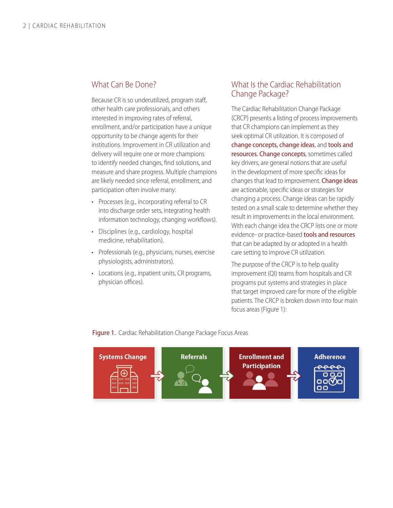#### <span id="page-4-2"></span><span id="page-4-0"></span>What Can Be Done?

Because CR is so underutilized, program staff, other health care professionals, and others interested in improving rates of referral, enrollment, and/or participation have a unique opportunity to be change agents for their institutions. Improvement in CR utilization and delivery will require one or more champions to identify needed changes, find solutions, and measure and share progress. Multiple champions are likely needed since referral, enrollment, and participation often involve many:

- Processes (e.g., incorporating referral to CR into discharge order sets, integrating health information technology, changing workflows).
- Disciplines (e.g., cardiology, hospital medicine, rehabilitation).
- Professionals (e.g., physicians, nurses, exercise physiologists, administrators).
- Locations (e.g., inpatient units, CR programs, physician offices).

## <span id="page-4-1"></span>What Is the Cardiac Rehabilitation Change Package?

The Cardiac Rehabilitation Change Package (CRCP) presents a listing of process improvements that CR champions can implement as they seek optimal CR utilization. It is composed of change concepts, change ideas, and tools and resources. Change concepts, sometimes called key drivers, are general notions that are useful in the development of more specific ideas for changes that lead to improvement. **Change ideas** are actionable, specific ideas or strategies for changing a process. Change ideas can be rapidly tested on a small scale to determine whether they result in improvements in the local environment. With each change idea the CRCP lists one or more evidence- or practice-based **tools and resources** that can be adapted by or adopted in a health care setting to improve CR utilization.

The purpose of the CRCP is to help quality improvement (QI) teams from hospitals and CR programs put systems and strategies in place that target improved care for more of the eligible patients. The CRCP is broken down into four main focus areas (Figure 1):

Figure 1. Cardiac Rehabilitation Change Package Focus Areas

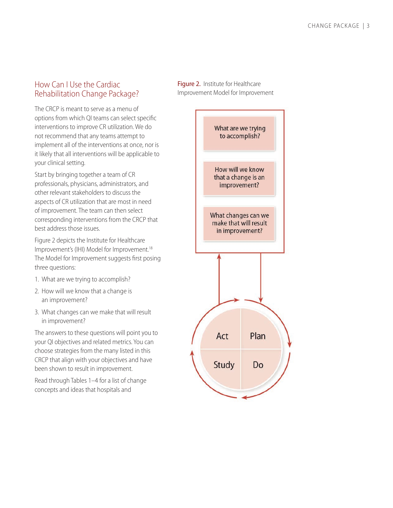#### <span id="page-5-0"></span>How Can I Use the Cardiac Rehabilitation Change Package?

The CRCP is meant to serve as a menu of options from which QI teams can select specific interventions to improve CR utilization. We do not recommend that any teams attempt to implement all of the interventions at once, nor is it likely that all interventions will be applicable to your clinical setting.

Start by bringing together a team of CR professionals, physicians, administrators, and other relevant stakeholders to discuss the aspects of CR utilization that are most in need of improvement. The team can then select corresponding interventions from the CRCP that best address those issues.

Figure 2 depicts the Institute for Healthcare Improvement's (IHI) Model for Improvement.<sup>18</sup> The Model for Improvement suggests first posing three questions:

- 1. What are we trying to accomplish?
- 2. How will we know that a change is an improvement?
- 3. What changes can we make that will result in improvement?

The answers to these questions will point you to your QI objectives and related metrics. You can choose strategies from the many listed in this CRCP that align with your objectives and have been shown to result in improvement.

Read through Tables 1–4 for a list of change concepts and ideas that hospitals and

<span id="page-5-1"></span>Figure 2. Institute for Healthcare Improvement Model for Improvement

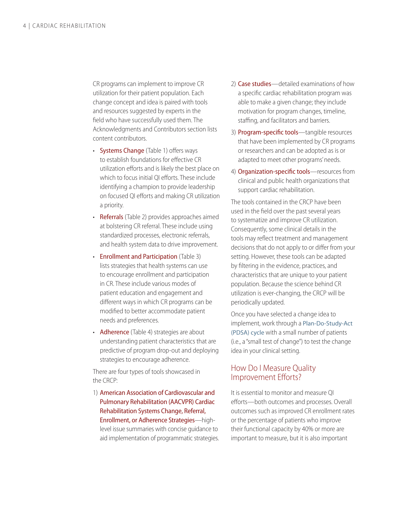CR programs can implement to improve CR utilization for their patient population. Each change concept and idea is paired with tools and resources suggested by experts in the field who have successfully used them. The Acknowledgments and Contributors section lists content contributors.

- Systems Change (Table 1) offers ways to establish foundations for effective CR utilization efforts and is likely the best place on which to focus initial QI efforts. These include identifying a champion to provide leadership on focused QI efforts and making CR utilization a priority.
- Referrals (Table 2) provides approaches aimed at bolstering CR referral. These include using standardized processes, electronic referrals, and health system data to drive improvement.
- Enrollment and Participation (Table 3) lists strategies that health systems can use to encourage enrollment and participation in CR. These include various modes of patient education and engagement and different ways in which CR programs can be modified to better accommodate patient needs and preferences.
- Adherence (Table 4) strategies are about understanding patient characteristics that are predictive of program drop-out and deploying strategies to encourage adherence.

There are four types of tools showcased in the CRCP:

1) American Association of Cardiovascular and Pulmonary Rehabilitation (AACVPR) Cardiac Rehabilitation Systems Change, Referral, Enrollment, or Adherence Strategies—highlevel issue summaries with concise guidance to aid implementation of programmatic strategies.

- 2) **Case studies**—detailed examinations of how a specific cardiac rehabilitation program was able to make a given change; they include motivation for program changes, timeline, staffing, and facilitators and barriers.
- 3) Program-specific tools—tangible resources that have been implemented by CR programs or researchers and can be adopted as is or adapted to meet other programs' needs.
- 4) Organization-specific tools-resources from clinical and public health organizations that support cardiac rehabilitation.

The tools contained in the CRCP have been used in the field over the past several years to systematize and improve CR utilization. Consequently, some clinical details in the tools may reflect treatment and management decisions that do not apply to or differ from your setting. However, these tools can be adapted by filtering in the evidence, practices, and characteristics that are unique to your patient population. Because the science behind CR utilization is ever-changing, the CRCP will be periodically updated.

Once you have selected a change idea to implement, work through a [Plan-Do-Study-Act](http://www.ihi.org/resources/Pages/HowtoImprove/ScienceofImprovementTestingChanges.aspx)  [\(PDSA\) cycle](http://www.ihi.org/resources/Pages/HowtoImprove/ScienceofImprovementTestingChanges.aspx) with a small number of patients (i.e., a "small test of change") to test the change idea in your clinical setting.

#### <span id="page-6-0"></span>How Do I Measure Quality Improvement Efforts?

It is essential to monitor and measure QI efforts—both outcomes and processes. Overall outcomes such as improved CR enrollment rates or the percentage of patients who improve their functional capacity by 40% or more are important to measure, but it is also important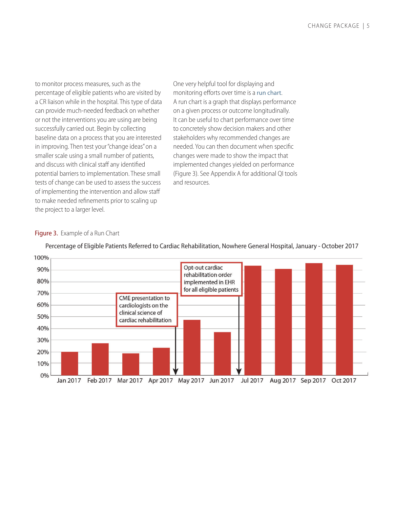<span id="page-7-0"></span>to monitor process measures, such as the percentage of eligible patients who are visited by a CR liaison while in the hospital. This type of data can provide much-needed feedback on whether or not the interventions you are using are being successfully carried out. Begin by collecting baseline data on a process that you are interested in improving. Then test your "change ideas" on a smaller scale using a small number of patients, and discuss with clinical staff any identified potential barriers to implementation. These small tests of change can be used to assess the success of implementing the intervention and allow staf to make needed refnements prior to scaling up the project to a larger level.

One very helpful tool for displaying and monitoring efforts over time is a [run chart](http://www.ihi.org/resources/Pages/Tools/RunChart.aspx). A run chart is a graph that displays performance on a given process or outcome longitudinally. It can be useful to chart performance over time to concretely show decision makers and other stakeholders why recommended changes are needed. You can then document when specifc changes were made to show the impact that implemented changes yielded on performance (Figure 3). See Appendix A for additional QI tools and resources.

#### Figure 3. Example of a Run Chart



Percentage of Eligible Patients Referred to Cardiac Rehabilitation, Nowhere General Hospital, January - October 2017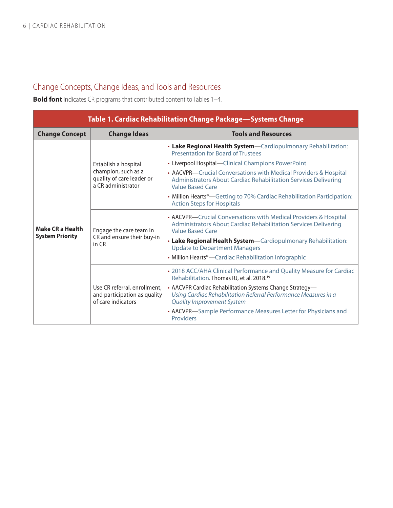# <span id="page-8-1"></span><span id="page-8-0"></span>Change Concepts, Change Ideas, and Tools and Resources

**Bold font** indicates CR programs that contributed content to Tables 1-4.

| Table 1. Cardiac Rehabilitation Change Package—Systems Change |                                                                                                |                                                                                                                                                                                                                                      |
|---------------------------------------------------------------|------------------------------------------------------------------------------------------------|--------------------------------------------------------------------------------------------------------------------------------------------------------------------------------------------------------------------------------------|
| <b>Change Concept</b>                                         | <b>Change Ideas</b>                                                                            | <b>Tools and Resources</b>                                                                                                                                                                                                           |
| <b>Make CR a Health</b><br><b>System Priority</b>             | Establish a hospital<br>champion, such as a<br>quality of care leader or<br>a CR administrator | • Lake Regional Health System-Cardiopulmonary Rehabilitation:<br><b>Presentation for Board of Trustees</b><br>• Liverpool Hospital—Clinical Champions PowerPoint<br>• AACVPR-Crucial Conversations with Medical Providers & Hospital |
|                                                               |                                                                                                | <b>Administrators About Cardiac Rehabilitation Services Delivering</b><br><b>Value Based Care</b>                                                                                                                                    |
|                                                               |                                                                                                | • Million Hearts <sup>®</sup> —Getting to 70% Cardiac Rehabilitation Participation:<br><b>Action Steps for Hospitals</b>                                                                                                             |
|                                                               | Engage the care team in<br>CR and ensure their buy-in<br>in CR                                 | • AACVPR-Crucial Conversations with Medical Providers & Hospital<br><b>Administrators About Cardiac Rehabilitation Services Delivering</b><br>Value Based Care                                                                       |
|                                                               |                                                                                                | • Lake Regional Health System-Cardiopulmonary Rehabilitation:<br><b>Update to Department Managers</b>                                                                                                                                |
|                                                               |                                                                                                | • Million Hearts <sup>®</sup> —Cardiac Rehabilitation Infographic                                                                                                                                                                    |
|                                                               | Use CR referral, enrollment,<br>and participation as quality<br>of care indicators             | • 2018 ACC/AHA Clinical Performance and Quality Measure for Cardiac<br>Rehabilitation. Thomas RJ, et al. 2018. <sup>19</sup>                                                                                                         |
|                                                               |                                                                                                | • AACVPR Cardiac Rehabilitation Systems Change Strategy-<br>Using Cardiac Rehabilitation Referral Performance Measures in a<br><b>Quality Improvement System</b>                                                                     |
|                                                               |                                                                                                | • AACVPR-Sample Performance Measures Letter for Physicians and<br>Providers                                                                                                                                                          |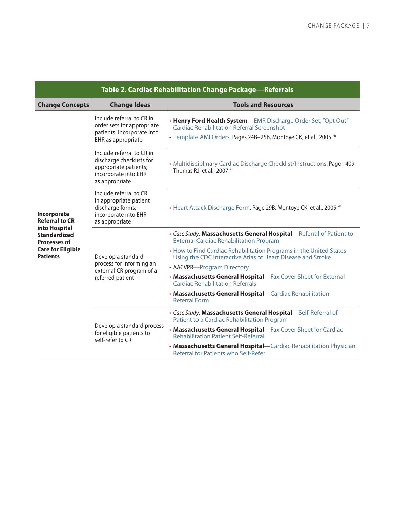<span id="page-9-0"></span>

| Table 2. Cardiac Rehabilitation Change Package-Referrals    |                                                                                                                          |                                                                                                                                                                                                     |
|-------------------------------------------------------------|--------------------------------------------------------------------------------------------------------------------------|-----------------------------------------------------------------------------------------------------------------------------------------------------------------------------------------------------|
| <b>Change Concepts</b>                                      | <b>Change Ideas</b>                                                                                                      | <b>Tools and Resources</b>                                                                                                                                                                          |
| Incorporate<br><b>Referral to CR</b>                        | Include referral to CR in<br>order sets for appropriate<br>patients; incorporate into<br>EHR as appropriate              | . Henry Ford Health System-EMR Discharge Order Set, "Opt Out"<br><b>Cardiac Rehabilitation Referral Screenshot</b><br>• Template AMI Orders. Pages 24B-25B, Montoye CK, et al., 2005. <sup>20</sup> |
|                                                             | Include referral to CR in<br>discharge checklists for<br>appropriate patients;<br>incorporate into EHR<br>as appropriate | · Multidisciplinary Cardiac Discharge Checklist/Instructions. Page 1409,<br>Thomas RJ, et al., 2007. <sup>21</sup>                                                                                  |
|                                                             | Include referral to CR<br>in appropriate patient<br>discharge forms;<br>incorporate into EHR<br>as appropriate           | • Heart Attack Discharge Form. Page 29B, Montoye CK, et al., 2005. <sup>20</sup>                                                                                                                    |
| into Hospital<br><b>Standardized</b><br><b>Processes of</b> | Develop a standard<br>process for informing an<br>external CR program of a<br>referred patient                           | • Case Study: Massachusetts General Hospital-Referral of Patient to<br><b>External Cardiac Rehabilitation Program</b>                                                                               |
| <b>Care for Eligible</b><br><b>Patients</b>                 |                                                                                                                          | • How to Find Cardiac Rehabilitation Programs in the United States<br>Using the CDC Interactive Atlas of Heart Disease and Stroke                                                                   |
|                                                             |                                                                                                                          | • AACVPR-Program Directory                                                                                                                                                                          |
|                                                             |                                                                                                                          | • Massachusetts General Hospital-Fax Cover Sheet for External<br><b>Cardiac Rehabilitation Referrals</b>                                                                                            |
|                                                             |                                                                                                                          | . Massachusetts General Hospital-Cardiac Rehabilitation<br><b>Referral Form</b>                                                                                                                     |
|                                                             | Develop a standard process<br>for eligible patients to<br>self-refer to CR                                               | · Case Study: Massachusetts General Hospital-Self-Referral of<br>Patient to a Cardiac Rehabilitation Program                                                                                        |
|                                                             |                                                                                                                          | . Massachusetts General Hospital-Fax Cover Sheet for Cardiac<br><b>Rehabilitation Patient Self-Referral</b>                                                                                         |
|                                                             |                                                                                                                          | . Massachusetts General Hospital-Cardiac Rehabilitation Physician<br>Referral for Patients who Self-Refer                                                                                           |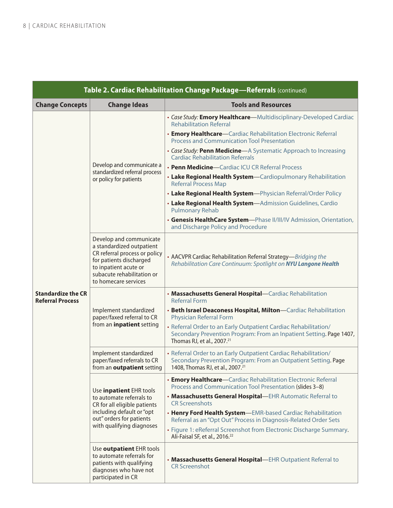| Table 2. Cardiac Rehabilitation Change Package-Referrals (continued) |                                                                                                                                                                                                 |                                                                                                                                                                                                                                                                                                                                                                                                                                                                          |
|----------------------------------------------------------------------|-------------------------------------------------------------------------------------------------------------------------------------------------------------------------------------------------|--------------------------------------------------------------------------------------------------------------------------------------------------------------------------------------------------------------------------------------------------------------------------------------------------------------------------------------------------------------------------------------------------------------------------------------------------------------------------|
| <b>Change Concepts</b>                                               | <b>Change Ideas</b>                                                                                                                                                                             | <b>Tools and Resources</b>                                                                                                                                                                                                                                                                                                                                                                                                                                               |
|                                                                      |                                                                                                                                                                                                 | • Case Study: Emory Healthcare-Multidisciplinary-Developed Cardiac<br><b>Rehabilitation Referral</b>                                                                                                                                                                                                                                                                                                                                                                     |
|                                                                      |                                                                                                                                                                                                 | • Emory Healthcare-Cardiac Rehabilitation Electronic Referral<br><b>Process and Communication Tool Presentation</b>                                                                                                                                                                                                                                                                                                                                                      |
|                                                                      |                                                                                                                                                                                                 | • Case Study: Penn Medicine-A Systematic Approach to Increasing<br><b>Cardiac Rehabilitation Referrals</b>                                                                                                                                                                                                                                                                                                                                                               |
|                                                                      | Develop and communicate a<br>standardized referral process                                                                                                                                      | • Penn Medicine-Cardiac ICU CR Referral Process                                                                                                                                                                                                                                                                                                                                                                                                                          |
|                                                                      | or policy for patients                                                                                                                                                                          | • Lake Regional Health System-Cardiopulmonary Rehabilitation<br><b>Referral Process Map</b>                                                                                                                                                                                                                                                                                                                                                                              |
|                                                                      |                                                                                                                                                                                                 | • Lake Regional Health System-Physician Referral/Order Policy                                                                                                                                                                                                                                                                                                                                                                                                            |
|                                                                      |                                                                                                                                                                                                 | • Lake Regional Health System-Admission Guidelines, Cardio<br><b>Pulmonary Rehab</b>                                                                                                                                                                                                                                                                                                                                                                                     |
|                                                                      |                                                                                                                                                                                                 | • Genesis HealthCare System-Phase II/III/IV Admission, Orientation,<br>and Discharge Policy and Procedure                                                                                                                                                                                                                                                                                                                                                                |
|                                                                      | Develop and communicate<br>a standardized outpatient<br>CR referral process or policy<br>for patients discharged<br>to inpatient acute or<br>subacute rehabilitation or<br>to homecare services | • AACVPR Cardiac Rehabilitation Referral Strategy-Bridging the<br>Rehabilitation Care Continuum: Spotlight on NYU Langone Health                                                                                                                                                                                                                                                                                                                                         |
| <b>Standardize the CR</b><br><b>Referral Process</b>                 |                                                                                                                                                                                                 | . Massachusetts General Hospital-Cardiac Rehabilitation<br><b>Referral Form</b>                                                                                                                                                                                                                                                                                                                                                                                          |
|                                                                      | Implement standardized<br>paper/faxed referral to CR<br>from an <i>inpatient</i> setting<br>Implement standardized<br>paper/faxed referrals to CR<br>from an outpatient setting                 | • Beth Israel Deaconess Hospital, Milton-Cardiac Rehabilitation<br><b>Physician Referral Form</b>                                                                                                                                                                                                                                                                                                                                                                        |
|                                                                      |                                                                                                                                                                                                 | • Referral Order to an Early Outpatient Cardiac Rehabilitation/<br>Secondary Prevention Program: From an Inpatient Setting. Page 1407,<br>Thomas RJ, et al., 2007. <sup>21</sup>                                                                                                                                                                                                                                                                                         |
|                                                                      |                                                                                                                                                                                                 | • Referral Order to an Early Outpatient Cardiac Rehabilitation/<br>Secondary Prevention Program: From an Outpatient Setting. Page<br>1408, Thomas RJ, et al., 2007. <sup>21</sup>                                                                                                                                                                                                                                                                                        |
|                                                                      | Use inpatient EHR tools<br>to automate referrals to<br>CR for all eligible patients<br>including default or "opt<br>out" orders for patients<br>with qualifying diagnoses                       | • Emory Healthcare-Cardiac Rehabilitation Electronic Referral<br>Process and Communication Tool Presentation (slides 3-8)<br>• Massachusetts General Hospital-EHR Automatic Referral to<br><b>CR Screenshots</b><br>. Henry Ford Health System-EMR-based Cardiac Rehabilitation<br>Referral as an "Opt Out" Process in Diagnosis-Related Order Sets<br>• Figure 1: eReferral Screenshot from Electronic Discharge Summary.<br>Ali-Faisal SF, et al., 2016. <sup>22</sup> |
|                                                                      | Use outpatient EHR tools<br>to automate referrals for<br>patients with qualifying<br>diagnoses who have not<br>participated in CR                                                               | • Massachusetts General Hospital-EHR Outpatient Referral to<br><b>CR Screenshot</b>                                                                                                                                                                                                                                                                                                                                                                                      |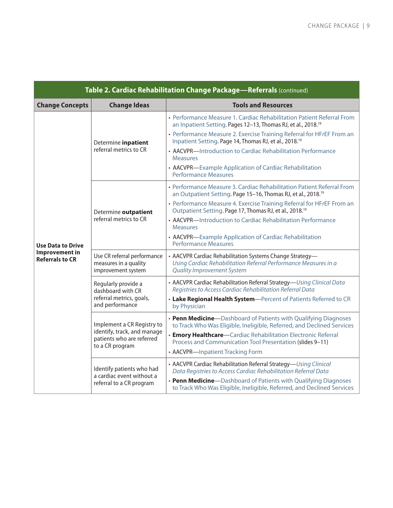| Table 2. Cardiac Rehabilitation Change Package-Referrals (continued) |                                                                                                           |                                                                                                                                                                                                                                                                                                                                                                                                                                                                               |
|----------------------------------------------------------------------|-----------------------------------------------------------------------------------------------------------|-------------------------------------------------------------------------------------------------------------------------------------------------------------------------------------------------------------------------------------------------------------------------------------------------------------------------------------------------------------------------------------------------------------------------------------------------------------------------------|
| <b>Change Concepts</b>                                               | <b>Change Ideas</b>                                                                                       | <b>Tools and Resources</b>                                                                                                                                                                                                                                                                                                                                                                                                                                                    |
| <b>Use Data to Drive</b>                                             | Determine inpatient<br>referral metrics to CR                                                             | • Performance Measure 1. Cardiac Rehabilitation Patient Referral From<br>an Inpatient Setting. Pages 12-13, Thomas RJ, et al., 2018. <sup>19</sup><br>• Performance Measure 2. Exercise Training Referral for HFrEF From an<br>Inpatient Setting. Page 14, Thomas RJ, et al., 2018. <sup>19</sup><br>• AACVPR-Introduction to Cardiac Rehabilitation Performance<br><b>Measures</b><br>• AACVPR-Example Application of Cardiac Rehabilitation<br><b>Performance Measures</b>  |
|                                                                      | Determine outpatient<br>referral metrics to CR                                                            | • Performance Measure 3. Cardiac Rehabilitation Patient Referral From<br>an Outpatient Setting. Page 15-16, Thomas RJ, et al., 2018. <sup>19</sup><br>• Performance Measure 4. Exercise Training Referral for HFrEF From an<br>Outpatient Setting. Page 17, Thomas RJ, et al., 2018. <sup>19</sup><br>• AACVPR-Introduction to Cardiac Rehabilitation Performance<br><b>Measures</b><br>• AACVPR-Example Application of Cardiac Rehabilitation<br><b>Performance Measures</b> |
| <b>Improvement in</b><br><b>Referrals to CR</b>                      | Use CR referral performance<br>measures in a quality<br>improvement system                                | • AACVPR Cardiac Rehabilitation Systems Change Strategy-<br>Using Cardiac Rehabilitation Referral Performance Measures in a<br><b>Quality Improvement System</b>                                                                                                                                                                                                                                                                                                              |
|                                                                      | Regularly provide a<br>dashboard with CR<br>referral metrics, goals,<br>and performance                   | • AACVPR Cardiac Rehabilitation Referral Strategy-Using Clinical Data<br>Registries to Access Cardiac Rehabilitation Referral Data<br>• Lake Regional Health System-Percent of Patients Referred to CR<br>by Physician                                                                                                                                                                                                                                                        |
|                                                                      | Implement a CR Registry to<br>identify, track, and manage<br>patients who are referred<br>to a CR program | • Penn Medicine-Dashboard of Patients with Qualifying Diagnoses<br>to Track Who Was Eligible, Ineligible, Referred, and Declined Services<br>• Emory Healthcare-Cardiac Rehabilitation Electronic Referral<br>Process and Communication Tool Presentation (slides 9-11)<br>• AACVPR-Inpatient Tracking Form                                                                                                                                                                   |
|                                                                      | Identify patients who had<br>a cardiac event without a<br>referral to a CR program                        | • AACVPR Cardiac Rehabilitation Referral Strategy-Using Clinical<br>Data Registries to Access Cardiac Rehabilitation Referral Data<br>• Penn Medicine-Dashboard of Patients with Qualifying Diagnoses<br>to Track Who Was Eligible, Ineligible, Referred, and Declined Services                                                                                                                                                                                               |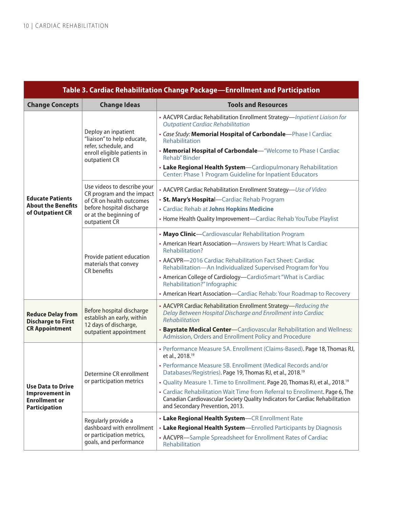<span id="page-12-0"></span>

| <b>Table 3. Cardiac Rehabilitation Change Package-Enrollment and Participation</b> |                                                                                                                           |                                                                                                                                                                                                 |
|------------------------------------------------------------------------------------|---------------------------------------------------------------------------------------------------------------------------|-------------------------------------------------------------------------------------------------------------------------------------------------------------------------------------------------|
| <b>Change Concepts</b>                                                             | <b>Change Ideas</b>                                                                                                       | <b>Tools and Resources</b>                                                                                                                                                                      |
|                                                                                    | Deploy an inpatient<br>"liaison" to help educate,<br>refer, schedule, and<br>enroll eligible patients in<br>outpatient CR | • AACVPR Cardiac Rehabilitation Enrollment Strategy-Inpatient Liaison for<br><b>Outpatient Cardiac Rehabilitation</b><br>· Case Study: Memorial Hospital of Carbondale-Phase I Cardiac          |
|                                                                                    |                                                                                                                           | Rehabilitation                                                                                                                                                                                  |
|                                                                                    |                                                                                                                           | • Memorial Hospital of Carbondale-"Welcome to Phase I Cardiac<br>Rehab" Binder                                                                                                                  |
|                                                                                    |                                                                                                                           | • Lake Regional Health System-Cardiopulmonary Rehabilitation<br>Center: Phase 1 Program Guideline for Inpatient Educators                                                                       |
|                                                                                    | Use videos to describe your<br>CR program and the impact                                                                  | • AACVPR Cardiac Rehabilitation Enrollment Strategy-Use of Video                                                                                                                                |
| <b>Educate Patients</b>                                                            | of CR on health outcomes                                                                                                  | • St. Mary's Hospital-Cardiac Rehab Program                                                                                                                                                     |
| <b>About the Benefits</b><br>of Outpatient CR                                      | before hospital discharge<br>or at the beginning of                                                                       | · Cardiac Rehab at Johns Hopkins Medicine                                                                                                                                                       |
|                                                                                    | outpatient CR                                                                                                             | • Home Health Quality Improvement-Cardiac Rehab YouTube Playlist                                                                                                                                |
|                                                                                    |                                                                                                                           | • Mayo Clinic-Cardiovascular Rehabilitation Program                                                                                                                                             |
|                                                                                    | Provide patient education<br>materials that convey<br>CR benefits                                                         | • American Heart Association-Answers by Heart: What Is Cardiac<br>Rehabilitation?                                                                                                               |
|                                                                                    |                                                                                                                           | • AACVPR-2016 Cardiac Rehabilitation Fact Sheet: Cardiac<br>Rehabilitation-An Individualized Supervised Program for You                                                                         |
|                                                                                    |                                                                                                                           | • American College of Cardiology-CardioSmart "What is Cardiac<br>Rehabilitation?" Infographic                                                                                                   |
|                                                                                    |                                                                                                                           | • American Heart Association-Cardiac Rehab: Your Roadmap to Recovery                                                                                                                            |
| <b>Reduce Delay from</b><br><b>Discharge to First</b>                              | Before hospital discharge<br>establish an early, within<br>12 days of discharge,<br>outpatient appointment                | • AACVPR Cardiac Rehabilitation Enrollment Strategy-Reducing the<br>Delay Between Hospital Discharge and Enrollment into Cardiac<br>Rehabilitation                                              |
| <b>CR Appointment</b>                                                              |                                                                                                                           | <b>Baystate Medical Center-Cardiovascular Rehabilitation and Wellness:</b><br>Admission, Orders and Enrollment Policy and Procedure                                                             |
|                                                                                    | Determine CR enrollment<br>or participation metrics                                                                       | • Performance Measure 5A. Enrollment (Claims-Based). Page 18, Thomas RJ,<br>et al., 2018. <sup>19</sup>                                                                                         |
|                                                                                    |                                                                                                                           | • Performance Measure 5B. Enrollment (Medical Records and/or<br>Databases/Registries). Page 19, Thomas RJ, et al., 2018. <sup>19</sup>                                                          |
| <b>Use Data to Drive</b>                                                           |                                                                                                                           | • Quality Measure 1. Time to Enrollment. Page 20, Thomas RJ, et al., 2018. <sup>19</sup>                                                                                                        |
| Improvement in<br><b>Enrollment or</b><br><b>Participation</b>                     |                                                                                                                           | • Cardiac Rehabilitation Wait Time from Referral to Enrollment. Page 6, The<br>Canadian Cardiovascular Society Quality Indicators for Cardiac Rehabilitation<br>and Secondary Prevention, 2013. |
|                                                                                    | Regularly provide a<br>dashboard with enrollment<br>or participation metrics,<br>goals, and performance                   | • Lake Regional Health System-CR Enrollment Rate                                                                                                                                                |
|                                                                                    |                                                                                                                           | • Lake Regional Health System-Enrolled Participants by Diagnosis                                                                                                                                |
|                                                                                    |                                                                                                                           | • AACVPR-Sample Spreadsheet for Enrollment Rates of Cardiac<br>Rehabilitation                                                                                                                   |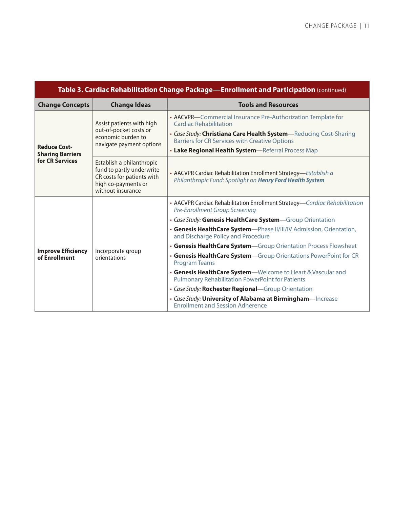| Table 3. Cardiac Rehabilitation Change Package-Enrollment and Participation (continued) |                                                                                                                                  |                                                                                                                              |
|-----------------------------------------------------------------------------------------|----------------------------------------------------------------------------------------------------------------------------------|------------------------------------------------------------------------------------------------------------------------------|
| <b>Change Concepts</b>                                                                  | <b>Change Ideas</b>                                                                                                              | <b>Tools and Resources</b>                                                                                                   |
| <b>Reduce Cost-</b><br><b>Sharing Barriers</b><br>for CR Services                       | Assist patients with high<br>out-of-pocket costs or<br>economic burden to<br>navigate payment options                            | • AACVPR-Commercial Insurance Pre-Authorization Template for<br><b>Cardiac Rehabilitation</b>                                |
|                                                                                         |                                                                                                                                  | • Case Study: Christiana Care Health System-Reducing Cost-Sharing<br><b>Barriers for CR Services with Creative Options</b>   |
|                                                                                         |                                                                                                                                  | • Lake Regional Health System-Referral Process Map                                                                           |
|                                                                                         | Establish a philanthropic<br>fund to partly underwrite<br>CR costs for patients with<br>high co-payments or<br>without insurance | • AACVPR Cardiac Rehabilitation Enrollment Strategy-Establish a<br>Philanthropic Fund: Spotlight on Henry Ford Health System |
|                                                                                         | Incorporate group<br>orientations                                                                                                | • AACVPR Cardiac Rehabilitation Enrollment Strategy—Cardiac Rehabilitation<br>Pre-Enrollment Group Screening                 |
|                                                                                         |                                                                                                                                  | • Case Study: Genesis HealthCare System-Group Orientation                                                                    |
|                                                                                         |                                                                                                                                  | • Genesis HealthCare System-Phase II/III/IV Admission, Orientation,<br>and Discharge Policy and Procedure                    |
|                                                                                         |                                                                                                                                  | • Genesis HealthCare System-Group Orientation Process Flowsheet                                                              |
| <b>Improve Efficiency</b><br>of Enrollment                                              |                                                                                                                                  | • Genesis HealthCare System-Group Orientations PowerPoint for CR<br><b>Program Teams</b>                                     |
|                                                                                         |                                                                                                                                  | • Genesis HealthCare System-Welcome to Heart & Vascular and<br><b>Pulmonary Rehabilitation PowerPoint for Patients</b>       |
|                                                                                         |                                                                                                                                  | • Case Study: Rochester Regional-Group Orientation                                                                           |
|                                                                                         |                                                                                                                                  | • Case Study: University of Alabama at Birmingham-Increase<br><b>Enrollment and Session Adherence</b>                        |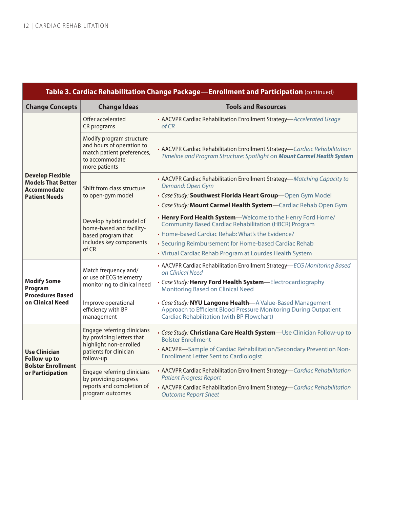| Table 3. Cardiac Rehabilitation Change Package—Enrollment and Participation (continued) |                                                                                                                                           |                                                                                                                                                                              |
|-----------------------------------------------------------------------------------------|-------------------------------------------------------------------------------------------------------------------------------------------|------------------------------------------------------------------------------------------------------------------------------------------------------------------------------|
| <b>Change Concepts</b>                                                                  | <b>Change Ideas</b>                                                                                                                       | <b>Tools and Resources</b>                                                                                                                                                   |
| <b>Develop Flexible</b><br><b>Models That Better</b><br>Accommodate                     | Offer accelerated<br>CR programs                                                                                                          | • AACVPR Cardiac Rehabilitation Enrollment Strategy-Accelerated Usage<br>of CR                                                                                               |
|                                                                                         | Modify program structure<br>and hours of operation to<br>match patient preferences,<br>to accommodate<br>more patients                    | • AACVPR Cardiac Rehabilitation Enrollment Strategy-Cardiac Rehabilitation<br>Timeline and Program Structure: Spotlight on Mount Carmel Health System                        |
|                                                                                         | Shift from class structure                                                                                                                | • AACVPR Cardiac Rehabilitation Enrollment Strategy-Matching Capacity to<br>Demand: Open Gym                                                                                 |
| <b>Patient Needs</b>                                                                    | to open-gym model                                                                                                                         | • Case Study: Southwest Florida Heart Group-Open Gym Model                                                                                                                   |
|                                                                                         |                                                                                                                                           | • Case Study: Mount Carmel Health System-Cardiac Rehab Open Gym                                                                                                              |
|                                                                                         | Develop hybrid model of<br>home-based and facility-<br>based program that<br>includes key components<br>of CR                             | • Henry Ford Health System-Welcome to the Henry Ford Home/<br><b>Community Based Cardiac Rehabilitation (HBCR) Program</b>                                                   |
|                                                                                         |                                                                                                                                           | • Home-based Cardiac Rehab: What's the Evidence?                                                                                                                             |
|                                                                                         |                                                                                                                                           | • Securing Reimbursement for Home-based Cardiac Rehab                                                                                                                        |
|                                                                                         |                                                                                                                                           | • Virtual Cardiac Rehab Program at Lourdes Health System                                                                                                                     |
|                                                                                         | Match frequency and/<br>or use of ECG telemetry<br>monitoring to clinical need<br>Improve operational<br>efficiency with BP<br>management | • AACVPR Cardiac Rehabilitation Enrollment Strategy-ECG Monitoring Based<br>on Clinical Need                                                                                 |
| <b>Modify Some</b><br>Program                                                           |                                                                                                                                           | • Case Study: Henry Ford Health System-Electrocardiography<br><b>Monitoring Based on Clinical Need</b>                                                                       |
| <b>Procedures Based</b><br>on Clinical Need                                             |                                                                                                                                           | • Case Study: NYU Langone Health-A Value-Based Management<br>Approach to Efficient Blood Pressure Monitoring During Outpatient<br>Cardiac Rehabilitation (with BP Flowchart) |
| <b>Use Clinician</b><br>Follow-up to                                                    | Engage referring clinicians<br>by providing letters that<br>highlight non-enrolled<br>patients for clinician<br>follow-up                 | • Case Study: Christiana Care Health System-Use Clinician Follow-up to<br><b>Bolster Enrollment</b>                                                                          |
|                                                                                         |                                                                                                                                           | • AACVPR-Sample of Cardiac Rehabilitation/Secondary Prevention Non-<br><b>Enrollment Letter Sent to Cardiologist</b>                                                         |
| <b>Bolster Enrollment</b><br>or Participation                                           | Engage referring clinicians<br>by providing progress<br>reports and completion of<br>program outcomes                                     | • AACVPR Cardiac Rehabilitation Enrollment Strategy-Cardiac Rehabilitation<br><b>Patient Progress Report</b>                                                                 |
|                                                                                         |                                                                                                                                           | • AACVPR Cardiac Rehabilitation Enrollment Strategy-Cardiac Rehabilitation<br><b>Outcome Report Sheet</b>                                                                    |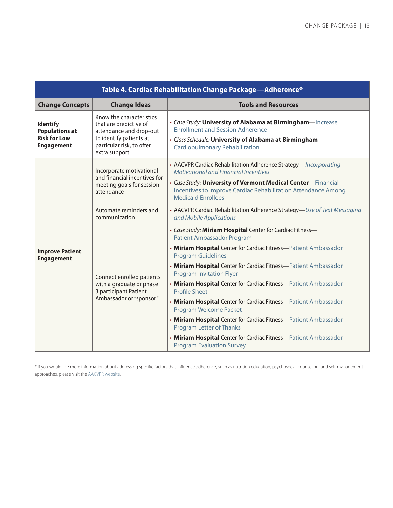<span id="page-15-0"></span>

| Table 4. Cardiac Rehabilitation Change Package-Adherence*                            |                                                                                                                                                        |                                                                                                                                                                                                   |
|--------------------------------------------------------------------------------------|--------------------------------------------------------------------------------------------------------------------------------------------------------|---------------------------------------------------------------------------------------------------------------------------------------------------------------------------------------------------|
| <b>Change Concepts</b>                                                               | <b>Change Ideas</b>                                                                                                                                    | <b>Tools and Resources</b>                                                                                                                                                                        |
| <b>Identify</b><br><b>Populations at</b><br><b>Risk for Low</b><br><b>Engagement</b> | Know the characteristics<br>that are predictive of<br>attendance and drop-out<br>to identify patients at<br>particular risk, to offer<br>extra support | • Case Study: University of Alabama at Birmingham-Increase<br><b>Enrollment and Session Adherence</b><br>· Class Schedule: University of Alabama at Birmingham-<br>Cardiopulmonary Rehabilitation |
|                                                                                      | Incorporate motivational<br>and financial incentives for<br>meeting goals for session<br>attendance                                                    | • AACVPR Cardiac Rehabilitation Adherence Strategy-Incorporating<br><b>Motivational and Financial Incentives</b>                                                                                  |
|                                                                                      |                                                                                                                                                        | . Case Study: University of Vermont Medical Center-Financial<br>Incentives to Improve Cardiac Rehabilitation Attendance Among<br><b>Medicaid Enrollees</b>                                        |
|                                                                                      | Automate reminders and<br>communication                                                                                                                | • AACVPR Cardiac Rehabilitation Adherence Strategy-Use of Text Messaging<br>and Mobile Applications                                                                                               |
|                                                                                      | Connect enrolled patients<br>with a graduate or phase<br>3 participant Patient<br>Ambassador or "sponsor"                                              | • Case Study: Miriam Hospital Center for Cardiac Fitness-<br><b>Patient Ambassador Program</b>                                                                                                    |
| <b>Improve Patient</b><br><b>Engagement</b>                                          |                                                                                                                                                        | • Miriam Hospital Center for Cardiac Fitness-Patient Ambassador<br><b>Program Guidelines</b>                                                                                                      |
|                                                                                      |                                                                                                                                                        | • Miriam Hospital Center for Cardiac Fitness-Patient Ambassador<br><b>Program Invitation Flyer</b>                                                                                                |
|                                                                                      |                                                                                                                                                        | • Miriam Hospital Center for Cardiac Fitness-Patient Ambassador<br>Profile Sheet                                                                                                                  |
|                                                                                      |                                                                                                                                                        | • Miriam Hospital Center for Cardiac Fitness-Patient Ambassador<br>Program Welcome Packet                                                                                                         |
|                                                                                      |                                                                                                                                                        | • Miriam Hospital Center for Cardiac Fitness-Patient Ambassador<br><b>Program Letter of Thanks</b>                                                                                                |
|                                                                                      |                                                                                                                                                        | . Miriam Hospital Center for Cardiac Fitness-Patient Ambassador<br><b>Program Evaluation Survey</b>                                                                                               |

\* If you would like more information about addressing specific factors that influence adherence, such as nutrition education, psychosocial counseling, and self-management approaches, please visit the [AACVPR website.](https://www.aacvpr.org)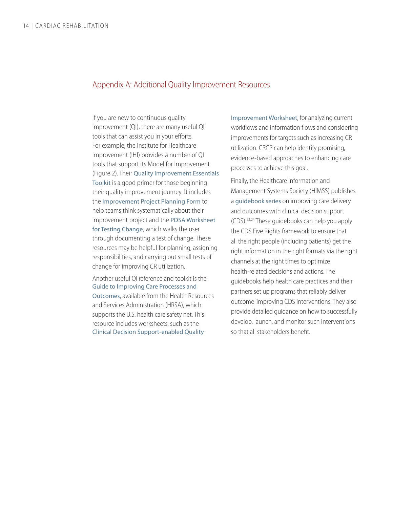#### <span id="page-16-0"></span>Appendix A: Additional Quality Improvement Resources

If you are new to continuous quality improvement (QI), there are many useful QI tools that can assist you in your efforts. For example, the Institute for Healthcare Improvement (IHI) provides a number of QI tools that support its Model for Improvement (Figure 2). Their [Quality Improvement Essentials](http://www.ihi.org/resources/Pages/Tools/Quality-Improvement-Essentials-Toolkit.aspx)  [Toolkit](http://www.ihi.org/resources/Pages/Tools/Quality-Improvement-Essentials-Toolkit.aspx) is a good primer for those beginning their quality improvement journey. It includes the [Improvement Project Planning Form](http://www.ihi.org/resources/Pages/Tools/ProjectPlanningForm.aspx) to help teams think systematically about their improvement project and the [PDSA Worksheet](http://www.ihi.org/resources/Pages/Tools/PlanDoStudyActWorksheet.aspx)  [for Testing Change](http://www.ihi.org/resources/Pages/Tools/PlanDoStudyActWorksheet.aspx), which walks the user through documenting a test of change. These resources may be helpful for planning, assigning responsibilities, and carrying out small tests of change for improving CR utilization.

Another useful QI reference and toolkit is the [Guide to Improving Care Processes and](https://hiteqcenter.org/Resources/HITEQ-Resources/guide-to-improving-care-processes-and-outcomes-in-health-centers)  [Outcomes](https://hiteqcenter.org/Resources/HITEQ-Resources/guide-to-improving-care-processes-and-outcomes-in-health-centers), available from the Health Resources and Services Administration (HRSA), which supports the U.S. health care safety net. This resource includes worksheets, such as the [Clinical Decision Support-enabled Quality](http://hiteqcenter.org/Portals/0/pdf/HITEQ HIT QI Guide CDS QI Worksheet_Essential.docx) 

[Improvement Worksheet](http://hiteqcenter.org/Portals/0/pdf/HITEQ HIT QI Guide CDS QI Worksheet_Essential.docx), for analyzing current workflows and information flows and considering improvements for targets such as increasing CR utilization. CRCP can help identify promising, evidence-based approaches to enhancing care processes to achieve this goal.

Finally, the Healthcare Information and Management Systems Society (HIMSS) publishes a [guidebook series](https://www.himss.org/library/clinical-decision-support/guidebook-series?navItemNumber=16571) on improving care delivery and outcomes with clinical decision support (CDS)[.23,24](#page-19-1) These guidebooks can help you apply the CDS Five Rights framework to ensure that all the right people (including patients) get the right information in the right formats via the right channels at the right times to optimize health-related decisions and actions. The guidebooks help health care practices and their partners set up programs that reliably deliver outcome-improving CDS interventions. They also provide detailed guidance on how to successfully develop, launch, and monitor such interventions so that all stakeholders benefit.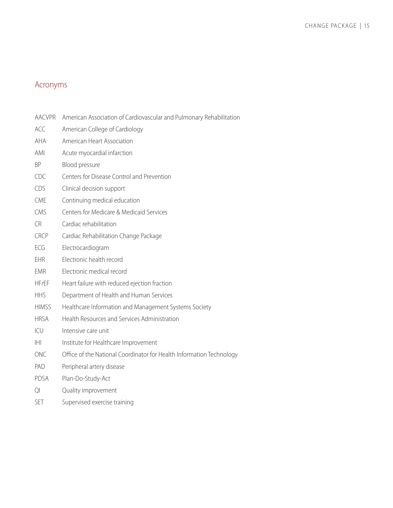# <span id="page-17-0"></span>Acronyms

ACC American College of Cardiology

| <b>AHA</b>   | American Heart Association                                           |
|--------------|----------------------------------------------------------------------|
| AMI          | Acute myocardial infarction                                          |
| ΒP           | Blood pressure                                                       |
| <b>CDC</b>   | Centers for Disease Control and Prevention                           |
| CDS          | Clinical decision support                                            |
| <b>CME</b>   | Continuing medical education                                         |
| <b>CMS</b>   | Centers for Medicare & Medicaid Services                             |
| CR           | Cardiac rehabilitation                                               |
| <b>CRCP</b>  | Cardiac Rehabilitation Change Package                                |
| ECG          | Electrocardiogram                                                    |
| EHR          | Electronic health record                                             |
| <b>EMR</b>   | Electronic medical record                                            |
| <b>HFrEF</b> | Heart failure with reduced ejection fraction                         |
| <b>HHS</b>   | Department of Health and Human Services                              |
| <b>HIMSS</b> | Healthcare Information and Management Systems Society                |
| <b>HRSA</b>  | Health Resources and Services Administration                         |
| ICU          | Intensive care unit                                                  |
| IHI          | Institute for Healthcare Improvement                                 |
| <b>ONC</b>   | Office of the National Coordinator for Health Information Technology |
| PAD          | Peripheral artery disease                                            |
|              |                                                                      |

AACVPR American Association of Cardiovascular and Pulmonary Rehabilitation

- PDSA Plan-Do-Study-Act
- QI Quality improvement
- SET Supervised exercise training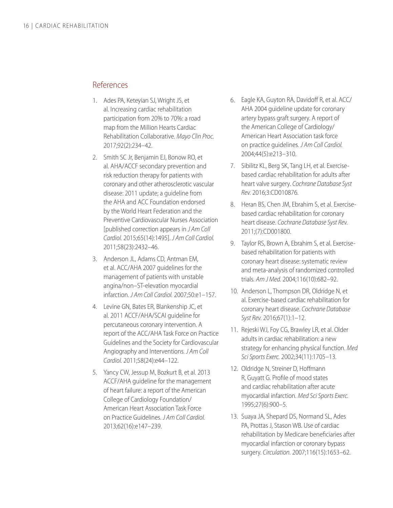#### <span id="page-18-1"></span><span id="page-18-0"></span>References

- 1. Ades PA, Keteyian SJ, Wright JS, et al. Increasing cardiac rehabilitation participation from 20% to 70%: a road map from the Million Hearts Cardiac Rehabilitation Collaborative. *Mayo Clin Proc.*  2017;92(2):234–42.
- 2. Smith SC Jr, Benjamin EJ, Bonow RO, et al. AHA/ACCF secondary prevention and risk reduction therapy for patients with coronary and other atherosclerotic vascular disease: 2011 update; a guideline from the AHA and ACC Foundation endorsed by the World Heart Federation and the Preventive Cardiovascular Nurses Association [published correction appears in *J Am Coll Cardiol.* 2015;65(14):1495]. *J Am Coll Cardiol.* 2011;58(23):2432–46.
- 3. Anderson JL, Adams CD, Antman EM, et al. ACC/AHA 2007 guidelines for the management of patients with unstable angina/non–ST-elevation myocardial infarction. *J Am Coll Cardiol.* 2007;50:e1–157.
- 4. Levine GN, Bates ER, Blankenship JC, et al. 2011 ACCF/AHA/SCAI guideline for percutaneous coronary intervention. A report of the ACC/AHA Task Force on Practice Guidelines and the Society for Cardiovascular Angiography and Interventions. *J Am Coll Cardiol.* 2011;58(24):e44–122.
- 5. Yancy CW, Jessup M, Bozkurt B, et al. 2013 ACCF/AHA guideline for the management of heart failure: a report of the American College of Cardiology Foundation/ American Heart Association Task Force on Practice Guidelines. *J Am Coll Cardiol.* 2013;62(16):e147–239.
- 6. Eagle KA, Guyton RA, Davidoff R, et al. ACC/ AHA 2004 guideline update for coronary artery bypass graft surgery. A report of the American College of Cardiology/ American Heart Association task force on practice guidelines. *J Am Coll Cardiol.*  2004;44(5):e213–310.
- 7. Sibilitz KL, Berg SK, Tang LH, et al. Exercisebased cardiac rehabilitation for adults after heart valve surgery. *Cochrane Database Syst Rev.* 2016;3:CD010876.
- 8. Heran BS, Chen JM, Ebrahim S, et al. Exercisebased cardiac rehabilitation for coronary heart disease. *Cochrane Database Syst Rev.* 2011;(7):CD001800.
- 9. Taylor RS, Brown A, Ebrahim S, et al. Exercisebased rehabilitation for patients with coronary heart disease: systematic review and meta-analysis of randomized controlled trials. *Am J Med.* 2004;116(10):682–92.
- 10. Anderson L, Thompson DR, Oldridge N, et al. Exercise-based cardiac rehabilitation for coronary heart disease. *Cochrane Database Syst Rev.* 2016;67(1):1–12.
- 11. Rejeski WJ, Foy CG, Brawley LR, et al. Older adults in cardiac rehabilitation: a new strategy for enhancing physical function. *Med Sci Sports Exerc.* 2002;34(11):1705–13.
- 12. Oldridge N, Streiner D, Hoffmann R, Guyatt G. Profile of mood states and cardiac rehabilitation after acute myocardial infarction. *Med Sci Sports Exerc.*  1995;27(6):900–5.
- 13. Suaya JA, Shepard DS, Normand SL, Ades PA, Prottas J, Stason WB. Use of cardiac rehabilitation by Medicare beneficiaries after myocardial infarction or coronary bypass surgery. *Circulation.* 2007;116(15):1653–62.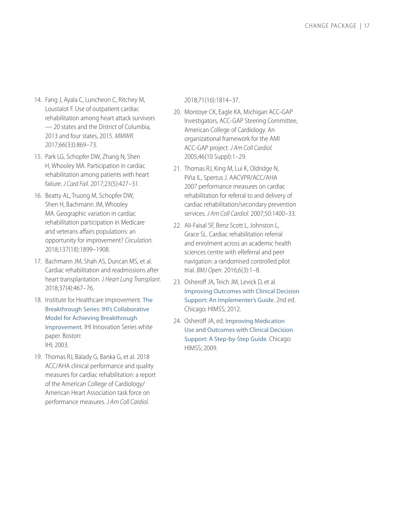- <span id="page-19-1"></span><span id="page-19-0"></span>14. Fang J, Ayala C, Luncheon C, Ritchey M, Loustalot F. Use of outpatient cardiac rehabilitation among heart attack survivors — 20 states and the District of Columbia, 2013 and four states, 2015. *MMWR.* 2017;66(33):869–73.
- 15. Park LG, Schopfer DW, Zhang N, Shen H, Whooley MA. Participation in cardiac rehabilitation among patients with heart failure. *J Card Fail.* 2017;23(5):427–31.
- 16. Beatty AL, Truong M, Schopfer DW, Shen H, Bachmann JM, Whooley MA. Geographic variation in cardiac rehabilitation participation in Medicare and veterans affairs populations: an opportunity for improvement? *Circulation.* 2018;137(18):1899–1908.
- 17. Bachmann JM, Shah AS, Duncan MS, et al. Cardiac rehabilitation and readmissions after heart transplantation. *J Heart Lung Transplant.* 2018;37(4):467–76.
- 18. Institute for Healthcare Improvement. [The](http://www.ihi.org/resources/Pages/IHIWhitePapers/TheBreakthroughSeriesIHIsCollaborativeModelforAchievingBreakthroughImprovement.aspx) [Breakthrough Series: IHI's Collaborative](http://www.ihi.org/resources/Pages/IHIWhitePapers/TheBreakthroughSeriesIHIsCollaborativeModelforAchievingBreakthroughImprovement.aspx)  [Model for Achieving Breakthrough](http://www.ihi.org/resources/Pages/IHIWhitePapers/TheBreakthroughSeriesIHIsCollaborativeModelforAchievingBreakthroughImprovement.aspx)  [Improvement](http://www.ihi.org/resources/Pages/IHIWhitePapers/TheBreakthroughSeriesIHIsCollaborativeModelforAchievingBreakthroughImprovement.aspx)*.* IHI Innovation Series white paper. Boston: IHI; 2003.
- 19. Thomas RJ, Balady G, Banka G, et al. 2018 ACC/AHA clinical performance and quality measures for cardiac rehabilitation: a report of the American College of Cardiology/ American Heart Association task force on performance measures. *J Am Coll Cardiol.*

2018;71(16):1814–37.

- 20. Montoye CK, Eagle KA, Michigan ACC-GAP Investigators, ACC-GAP Steering Committee, American College of Cardiology. An organizational framework for the AMI ACC-GAP project. *J Am Coll Cardiol.* 2005;46(10 Suppl):1–29.
- 21. Thomas RJ, King M, Lui K, Oldridge N, Piña IL, Spertus J. AACVPR/ACC/AHA 2007 performance measures on cardiac rehabilitation for referral to and delivery of cardiac rehabilitation/secondary prevention services. *J Am Coll Cardiol.* 2007;50:1400–33.
- 22. Ali-Faisal SF, Benz Scott L, Johnston L, Grace SL. Cardiac rehabilitation referral and enrolment across an academic health sciences centre with eReferral and peer navigation: a randomised controlled pilot trial. *BMJ Open.* 2016;6(3):1–8.
- 23. Osheroff JA, Teich JM, Levick D, et al. [Improving Outcomes with Clinical Decision](https://www.crcpress.com/Improving-Outcomes-with-Clinical-Decision-Support-An-Implementers-Guide/Osheroff-Teich-Levick-Saldana-Velasco-Sittig-Rogers-Jenders/p/book/9780984457731)  [Support: An Implementer's Guide](https://www.crcpress.com/Improving-Outcomes-with-Clinical-Decision-Support-An-Implementers-Guide/Osheroff-Teich-Levick-Saldana-Velasco-Sittig-Rogers-Jenders/p/book/9780984457731)*.* 2nd ed. Chicago: HIMSS; 2012.
- 24. Osheroff JA, ed. [Improving Medication](https://www.crcpress.com/Improving-Medication-Use-and-Outcomes-with-Clinical-Decision-Support/Osheroff/p/book/9780980069730)  [Use and Outcomes with Clinical Decision](https://www.crcpress.com/Improving-Medication-Use-and-Outcomes-with-Clinical-Decision-Support/Osheroff/p/book/9780980069730)  [Support: A Step-by-Step Guide](https://www.crcpress.com/Improving-Medication-Use-and-Outcomes-with-Clinical-Decision-Support/Osheroff/p/book/9780980069730)*.* Chicago: HIMSS; 2009.